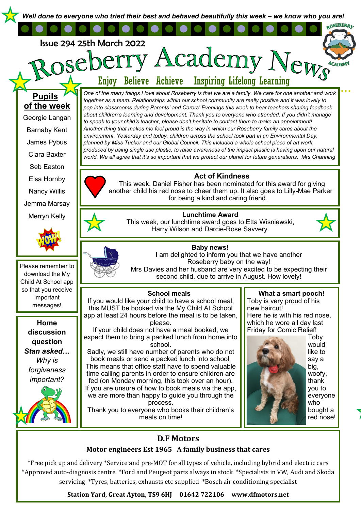*Well done to everyone who tried their best and behaved beautifully this week – we know who you are!*

# Issue 294 25th March 2022

OSE

Enjoy Believe Achieve Inspiring Lifelong Learning

**Pupils of the week**

Georgie Langan Barnaby Kent James Pybus Clara Baxter Seb Easton Elsa Hornby

Nancy Willis

Jemma Marsay

Merryn Kelly



Please remember to download the My Child At School app so that you receive important messages!

**Home discussion question**  *Stan asked… Why is forgiveness important?* 



*One of the many things I love about Roseberry is that we are a family. We care for one another and work together as a team. Relationships within our school community are really positive and it was lovely to pop into classrooms during Parents' and Carers' Evenings this week to hear teachers sharing feedback about children's learning and development. Thank you to everyone who attended. If you didn't manage to speak to your child's teacher, please don't hesitate to contact them to make an appointment! Another thing that makes me feel proud is the way in which our Roseberry family cares about the environment. Yesterday and today, children across the school took part in an Environmental Day, planned by Miss Tucker and our Global Council. This included a whole school piece of art work, produced by using single use plastic, to raise awareness of the impact plastic is having upon our natural world. We all agree that it's so important that we protect our planet for future generations. Mrs Channing* 

Academy

#### **Act of Kindness**

This week, Daniel Fisher has been nominated for this award for giving another child his red nose to cheer them up. It also goes to Lilly-Mae Parker for being a kind and caring friend.

**Lunchtime Award**  This week, our lunchtime award goes to Etta Wisniewski, Harry Wilson and Darcie-Rose Savvery.



## **Baby news!**

I am delighted to inform you that we have another Roseberry baby on the way!

Mrs Davies and her husband are very excited to be expecting their second child, due to arrive in August. How lovely!

#### **School meals**

If you would like your child to have a school meal, this MUST be booked via the My Child At School app at least 24 hours before the meal is to be taken, please.

If your child does not have a meal booked, we expect them to bring a packed lunch from home into school.

Sadly, we still have number of parents who do not book meals or send a packed lunch into school. This means that office staff have to spend valuable time calling parents in order to ensure children are fed (on Monday morning, this took over an hour). If you are unsure of how to book meals via the app, we are more than happy to guide you through the process.

Thank you to everyone who books their children's meals on time!

**What a smart pooch!**

Toby is very proud of his new haircut! Here he is with his red nose, which he wore all day last Friday for Comic Relief!



would like to say a big, woofy, thank you to everyone who bought a red nose!

## **D.F Motors**

#### **Motor engineers Est 1965 A family business that cares**

\*Free pick up and delivery \*Service and pre-MOT for all types of vehicle, including hybrid and electric cars \*Approved auto-diagnosis centre \*Ford and Peugeot parts always in stock \*Specialists in VW, Audi and Skoda servicing \*Tyres, batteries, exhausts etc supplied \*Bosch air conditioning specialist

**Station Yard, Great Ayton, TS9 6HJ 01642 722106 www.dfmotors.net**